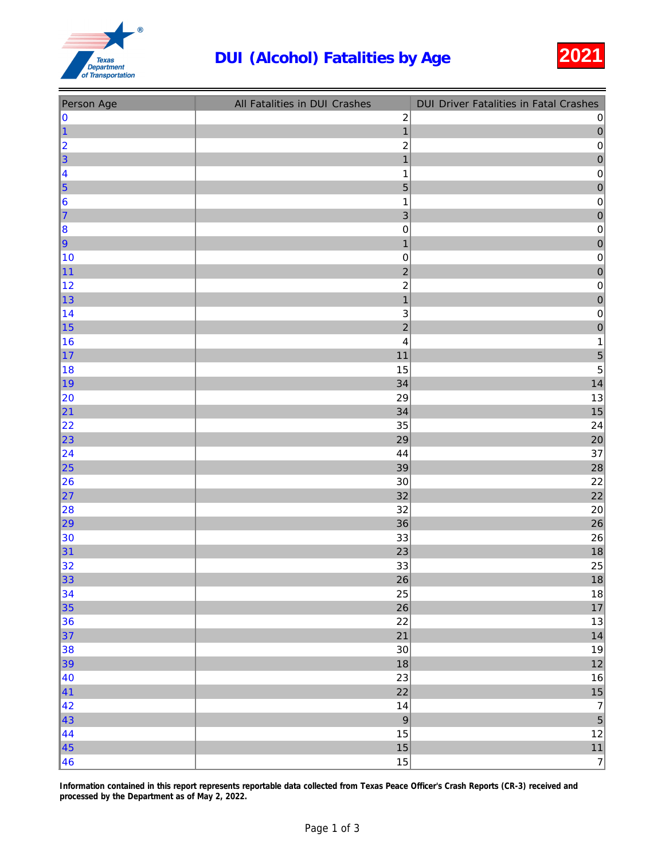## DUI (Alcohol) Fatalities by Age 2021



| Person Age              | All Fatalities in DUI Crashes | <b>DUI Driver Fatalities in Fatal Crashes</b> |
|-------------------------|-------------------------------|-----------------------------------------------|
| 0                       | $\sqrt{2}$                    | $\pmb{0}$                                     |
| 1                       | $\overline{1}$                | $\overline{0}$                                |
| $\overline{\mathbf{c}}$ | $\overline{\mathbf{c}}$       | $\pmb{0}$                                     |
| 3                       | $\overline{1}$                | $\overline{0}$                                |
| 4                       | 1                             | $\pmb{0}$                                     |
| 5                       | 5                             | $\theta$                                      |
| $6\phantom{1}6$         | $\mathbf 1$                   | $\pmb{0}$                                     |
| $\overline{7}$          | $\mathsf 3$                   | $\mathbf{0}$                                  |
| $\vert$ 8               | $\mathbf 0$                   | $\pmb{0}$                                     |
| $ 9\rangle$             | $\mathbf{1}$                  | $\mathbf 0$                                   |
| 10                      | $\pmb{0}$                     | $\pmb{0}$                                     |
| 11                      | $\overline{2}$                | $\overline{0}$                                |
| 12                      | $\overline{\mathbf{c}}$       | $\pmb{0}$                                     |
| 13                      | $\overline{1}$                | $\overline{0}$                                |
| 14                      | $\ensuremath{\mathsf{3}}$     | $\pmb{0}$                                     |
| 15                      | $\overline{2}$                | $\mathbf{0}$                                  |
| 16                      | 4                             | $\mathbf 1$                                   |
| 17                      | 11                            | 5                                             |
| 18                      | 15                            | $\overline{5}$                                |
| 19                      | 34                            | 14                                            |
| 20                      | 29                            | $13\,$                                        |
| 21                      | 34                            | 15                                            |
| 22                      | 35                            | 24                                            |
| 23                      | 29                            | 20                                            |
| 24                      | 44                            | 37                                            |
| 25                      | 39                            | 28                                            |
| 26                      | $30\,$                        | 22                                            |
| 27                      | 32                            | 22                                            |
| 28                      | 32                            | $20\,$                                        |
| 29                      | 36                            | 26                                            |
| 30                      | 33                            | $26\,$                                        |
| 31                      | 23                            | 18                                            |
| 32                      | 33                            | 25                                            |
| 33                      | 26                            | 18                                            |
| 34                      | 25                            | $18\,$                                        |
| 35                      | 26                            | 17                                            |
| 36                      | 22                            | $13$                                          |
| 37                      | 21                            | 14                                            |
| 38                      | $30\,$                        | $19$                                          |
| 39                      | 18                            | $12$                                          |
| 40                      | 23                            | $16\,$                                        |
| 41                      | 22                            | 15                                            |
| 42                      | $14$                          | $\overline{7}$                                |
| 43                      | $\boldsymbol{9}$              | $\overline{5}$                                |
| 44                      | 15                            | $12$                                          |
| 45                      | $15\,$                        |                                               |
| 46                      | 15                            | $\begin{array}{c} 11 \\ 7 \end{array}$        |

Information contained in this report represents reportable data collected from Texas Peace Officer's Crash Reports (CR-3) received and processed by the Department as of May 2, 2022.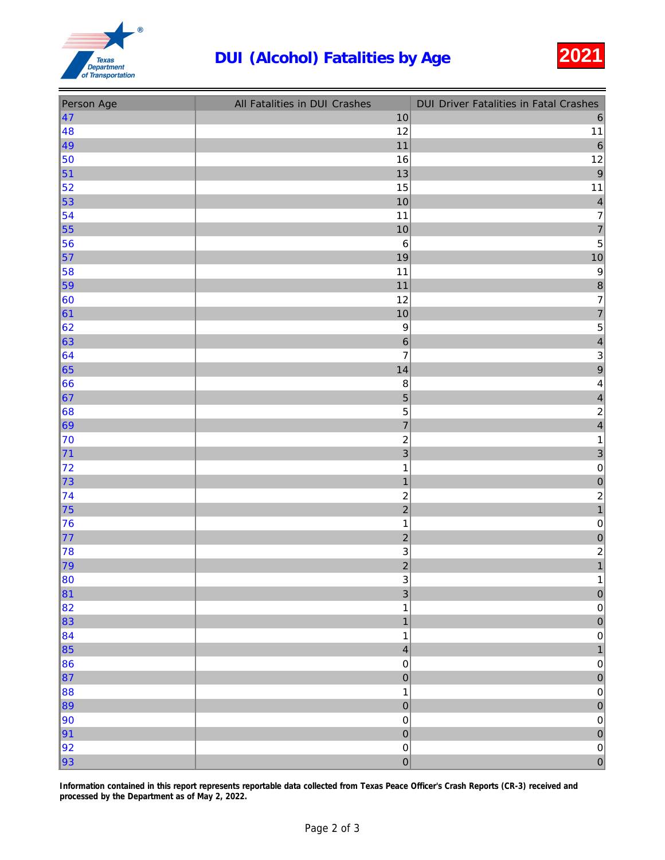## DUI (Alcohol) Fatalities by Age 2021



| Person Age | All Fatalities in DUI Crashes | <b>DUI Driver Fatalities in Fatal Crashes</b> |
|------------|-------------------------------|-----------------------------------------------|
| 47         | $10$                          | $\,6\,$                                       |
| 48         | 12                            | $11$                                          |
| 49         | 11                            | $\overline{6}$                                |
| 50         | $16$                          | 12                                            |
| 51         | 13                            | $\overline{9}$                                |
| 52         | 15                            | 11                                            |
| 53         | 10                            | $\overline{\mathbf{4}}$                       |
| 54         | 11                            | $\overline{7}$                                |
| 55         | 10                            | $\overline{7}$                                |
| 56         | $\,6$                         | $\overline{5}$                                |
| 57         | 19                            | $10$                                          |
| 58         | 11                            | $\boldsymbol{9}$                              |
| 59         | 11                            | $\overline{8}$                                |
| 60         | 12                            | $\overline{7}$                                |
| 61         | 10                            | $\overline{7}$                                |
| 62         | $\boldsymbol{9}$              | $\overline{5}$                                |
| 63         | $\,$ 6 $\,$                   | $\overline{\mathbf{r}}$                       |
| 64         | $\overline{\mathcal{I}}$      | $\mathbf{3}$                                  |
| 65         | 14                            | 9                                             |
| 66         | $\bf8$                        | 4                                             |
| 67         | 5                             | $\overline{\mathcal{L}}$                      |
| 68         | $\overline{5}$                | $\overline{\mathbf{c}}$                       |
| 69         | $\overline{7}$                | $\overline{4}$                                |
| 70         | $\boldsymbol{2}$              | $\mathbf{1}$                                  |
| 71         | $\overline{3}$                | 3                                             |
| 72         | $\mathbf{1}$                  | $\pmb{0}$                                     |
| 73         | $\overline{1}$                | $\overline{0}$                                |
| 74         | $\overline{c}$                | $\overline{c}$                                |
| 75         | $\overline{c}$                | $\overline{1}$                                |
| 76         | $\mathbf{1}$                  | $\pmb{0}$                                     |
| 77         | $\overline{c}$                | $\mathbf{0}$                                  |
| 78         | $\ensuremath{\mathsf{3}}$     |                                               |
| 79         | $\overline{2}$                | $\begin{array}{c} 2 \\ 1 \end{array}$         |
| 80         | 3                             | $\overline{1}$                                |
| 81         | $\overline{3}$                | $\mathbf 0$                                   |
| 82         | $\mathbf{1}$                  | $\pmb{0}$                                     |
| 83         | $\mathbf{1}$                  | $\overline{0}$                                |
| 84         | $\mathbf 1$                   | $\mathbf 0$                                   |
| 85         | $\overline{4}$                | $\mathbf{1}$                                  |
| 86         | $\mathbf 0$                   | $\mathbf 0$                                   |
| 87         | $\mathbf 0$                   | $\mathbf 0$                                   |
| 88         | $\mathbf{1}$                  | $\pmb{0}$                                     |
| 89         | $\mathbf 0$                   | $\overline{0}$                                |
| 90         | $\mathbf 0$                   | $\pmb{0}$                                     |
| 91         | $\mathbf 0$                   | $\mathbf 0$                                   |
| 92         | $\mathbf 0$                   | $\pmb{0}$                                     |
| 93         | $\mathbf 0$                   | $\mathbf{0}$                                  |

Information contained in this report represents reportable data collected from Texas Peace Officer's Crash Reports (CR-3) received and processed by the Department as of May 2, 2022.